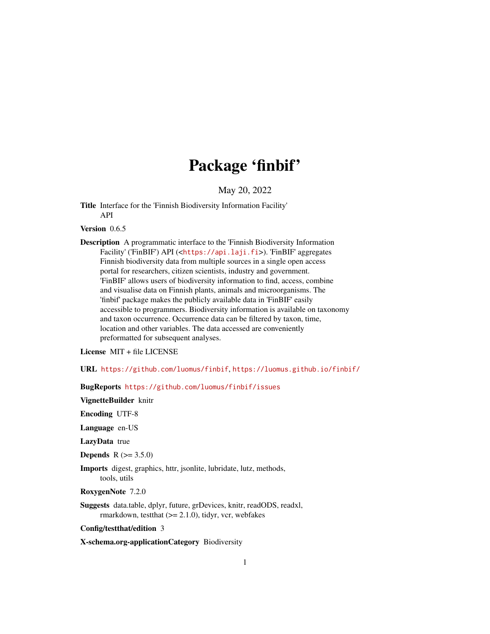# Package 'finbif'

May 20, 2022

<span id="page-0-0"></span>Title Interface for the 'Finnish Biodiversity Information Facility' API

Version 0.6.5

Description A programmatic interface to the 'Finnish Biodiversity Information Facility' ('FinBIF') API (<<https://api.laji.fi>>). 'FinBIF' aggregates Finnish biodiversity data from multiple sources in a single open access portal for researchers, citizen scientists, industry and government. 'FinBIF' allows users of biodiversity information to find, access, combine and visualise data on Finnish plants, animals and microorganisms. The 'finbif' package makes the publicly available data in 'FinBIF' easily accessible to programmers. Biodiversity information is available on taxonomy and taxon occurrence. Occurrence data can be filtered by taxon, time, location and other variables. The data accessed are conveniently preformatted for subsequent analyses.

License MIT + file LICENSE

URL <https://github.com/luomus/finbif>, <https://luomus.github.io/finbif/>

BugReports <https://github.com/luomus/finbif/issues>

VignetteBuilder knitr

Encoding UTF-8

Language en-US

LazyData true

**Depends**  $R (= 3.5.0)$ 

Imports digest, graphics, httr, jsonlite, lubridate, lutz, methods, tools, utils

RoxygenNote 7.2.0

Suggests data.table, dplyr, future, grDevices, knitr, readODS, readxl, rmarkdown, testthat  $(>= 2.1.0)$ , tidyr, vcr, webfakes

Config/testthat/edition 3

X-schema.org-applicationCategory Biodiversity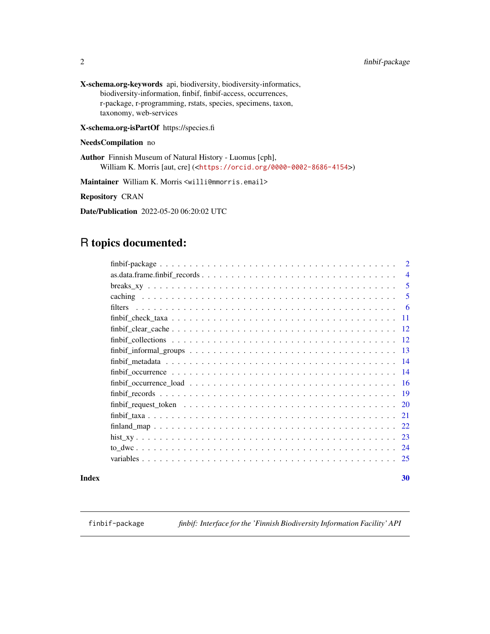<span id="page-1-0"></span>X-schema.org-keywords api, biodiversity, biodiversity-informatics, biodiversity-information, finbif, finbif-access, occurrences, r-package, r-programming, rstats, species, specimens, taxon, taxonomy, web-services

# X-schema.org-isPartOf https://species.fi

# NeedsCompilation no

Author Finnish Museum of Natural History - Luomus [cph], William K. Morris [aut, cre] (<<https://orcid.org/0000-0002-8686-4154>>)

Maintainer William K. Morris <willi@mmorris.email>

Repository CRAN

Date/Publication 2022-05-20 06:20:02 UTC

# R topics documented:

| $\overline{2}$                                                                                                       |
|----------------------------------------------------------------------------------------------------------------------|
| $\overline{4}$                                                                                                       |
| 5                                                                                                                    |
| 5                                                                                                                    |
| -6                                                                                                                   |
| 11                                                                                                                   |
| -12                                                                                                                  |
| -12                                                                                                                  |
| $finbif_informal\_groups \ldots \ldots \ldots \ldots \ldots \ldots \ldots \ldots \ldots \ldots \ldots \ldots$<br>-13 |
| 14                                                                                                                   |
| 14                                                                                                                   |
| 16                                                                                                                   |
| -19                                                                                                                  |
| 20                                                                                                                   |
| 21                                                                                                                   |
| 22                                                                                                                   |
| 23                                                                                                                   |
| -24                                                                                                                  |
| 25                                                                                                                   |

## $\bf 30$  $\bf 30$

finbif-package *finbif: Interface for the 'Finnish Biodiversity Information Facility' API*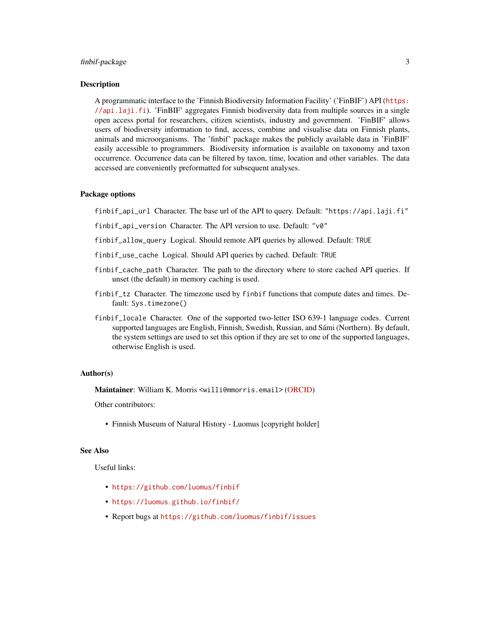## finbif-package 3

#### Description

A programmatic interface to the 'Finnish Biodiversity Information Facility' ('FinBIF') API ([https:](https://api.laji.fi) [//api.laji.fi](https://api.laji.fi)). 'FinBIF' aggregates Finnish biodiversity data from multiple sources in a single open access portal for researchers, citizen scientists, industry and government. 'FinBIF' allows users of biodiversity information to find, access, combine and visualise data on Finnish plants, animals and microorganisms. The 'finbif' package makes the publicly available data in 'FinBIF' easily accessible to programmers. Biodiversity information is available on taxonomy and taxon occurrence. Occurrence data can be filtered by taxon, time, location and other variables. The data accessed are conveniently preformatted for subsequent analyses.

## Package options

finbif\_api\_url Character. The base url of the API to query. Default: "https://api.laji.fi"

- finbif\_api\_version Character. The API version to use. Default: "v0"
- finbif\_allow\_query Logical. Should remote API queries by allowed. Default: TRUE
- finbif\_use\_cache Logical. Should API queries by cached. Default: TRUE
- finbif\_cache\_path Character. The path to the directory where to store cached API queries. If unset (the default) in memory caching is used.
- finbif\_tz Character. The timezone used by finbif functions that compute dates and times. Default: Sys.timezone()
- finbif\_locale Character. One of the supported two-letter ISO 639-1 language codes. Current supported languages are English, Finnish, Swedish, Russian, and Sámi (Northern). By default, the system settings are used to set this option if they are set to one of the supported languages, otherwise English is used.

## Author(s)

Maintainer: William K. Morris <willi@mmorris.email> [\(ORCID\)](https://orcid.org/0000-0002-8686-4154)

Other contributors:

• Finnish Museum of Natural History - Luomus [copyright holder]

#### See Also

Useful links:

- <https://github.com/luomus/finbif>
- <https://luomus.github.io/finbif/>
- Report bugs at <https://github.com/luomus/finbif/issues>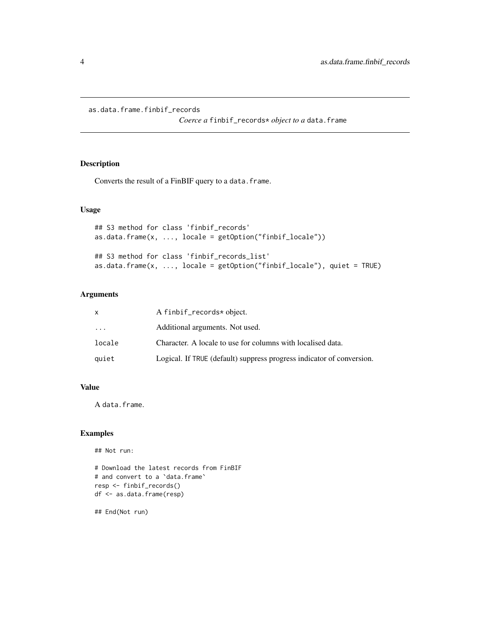<span id="page-3-0"></span>as.data.frame.finbif\_records

*Coerce a* finbif\_records\* *object to a* data.frame

# Description

Converts the result of a FinBIF query to a data.frame.

# Usage

```
## S3 method for class 'finbif_records'
as.data.frame(x, ..., locale = getOption("finbif\_locale"))## S3 method for class 'finbif_records_list'
as.data.frame(x, ..., locale = getOption("finbif_locale"), quiet = TRUE)
```
# Arguments

|        | A finbif_records* object.                                             |
|--------|-----------------------------------------------------------------------|
| .      | Additional arguments. Not used.                                       |
| locale | Character. A locale to use for columns with localised data.           |
| quiet  | Logical. If TRUE (default) suppress progress indicator of conversion. |

# Value

A data.frame.

# Examples

## Not run:

```
# Download the latest records from FinBIF
# and convert to a `data.frame`
resp <- finbif_records()
df <- as.data.frame(resp)
```
## End(Not run)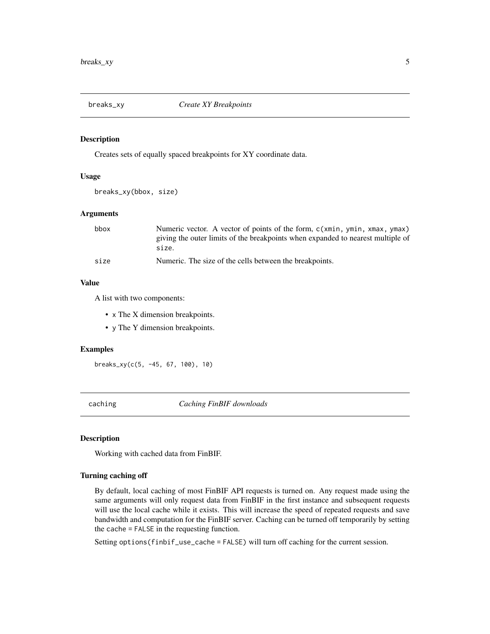<span id="page-4-0"></span>

## Description

Creates sets of equally spaced breakpoints for XY coordinate data.

# Usage

breaks\_xy(bbox, size)

## Arguments

| bbox | Numeric vector. A vector of points of the form, c(xmin, ymin, xmax, ymax)<br>giving the outer limits of the breakpoints when expanded to nearest multiple of<br>size. |
|------|-----------------------------------------------------------------------------------------------------------------------------------------------------------------------|
| size | Numeric. The size of the cells between the breakpoints.                                                                                                               |

# Value

A list with two components:

- x The X dimension breakpoints.
- y The Y dimension breakpoints.

# Examples

breaks\_xy(c(5, -45, 67, 100), 10)

caching *Caching FinBIF downloads*

#### Description

Working with cached data from FinBIF.

# Turning caching off

By default, local caching of most FinBIF API requests is turned on. Any request made using the same arguments will only request data from FinBIF in the first instance and subsequent requests will use the local cache while it exists. This will increase the speed of repeated requests and save bandwidth and computation for the FinBIF server. Caching can be turned off temporarily by setting the cache = FALSE in the requesting function.

Setting options(finbif\_use\_cache = FALSE) will turn off caching for the current session.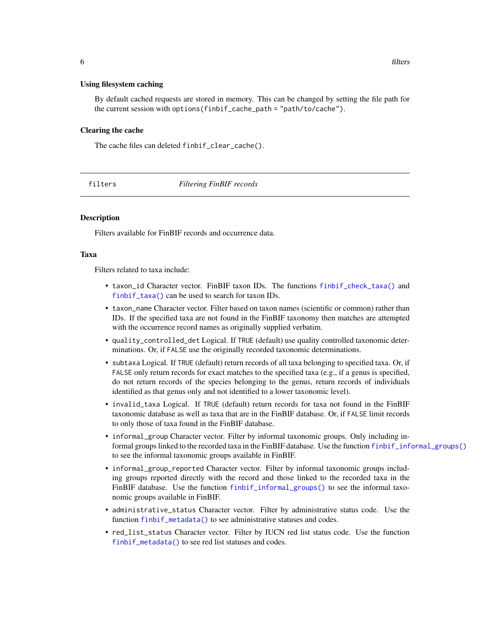#### <span id="page-5-0"></span>Using filesystem caching

By default cached requests are stored in memory. This can be changed by setting the file path for the current session with options(finbif\_cache\_path = "path/to/cache").

#### Clearing the cache

The cache files can deleted finbif\_clear\_cache().

filters *Filtering FinBIF records*

## **Description**

Filters available for FinBIF records and occurrence data.

## Taxa

Filters related to taxa include:

- taxon\_id Character vector. FinBIF taxon IDs. The functions [finbif\\_check\\_taxa\(\)](#page-10-1) and [finbif\\_taxa\(\)](#page-20-1) can be used to search for taxon IDs.
- taxon\_name Character vector. Filter based on taxon names (scientific or common) rather than IDs. If the specified taxa are not found in the FinBIF taxonomy then matches are attempted with the occurrence record names as originally supplied verbatim.
- quality\_controlled\_det Logical. If TRUE (default) use quality controlled taxonomic determinations. Or, if FALSE use the originally recorded taxonomic determinations.
- subtaxa Logical. If TRUE (default) return records of all taxa belonging to specified taxa. Or, if FALSE only return records for exact matches to the specified taxa (e.g., if a genus is specified, do not return records of the species belonging to the genus, return records of individuals identified as that genus only and not identified to a lower taxonomic level).
- invalid\_taxa Logical. If TRUE (default) return records for taxa not found in the FinBIF taxonomic database as well as taxa that are in the FinBIF database. Or, if FALSE limit records to only those of taxa found in the FinBIF database.
- informal\_group Character vector. Filter by informal taxonomic groups. Only including informal groups linked to the recorded taxa in the FinBIF database. Use the function [finbif\\_informal\\_groups\(\)](#page-12-1) to see the informal taxonomic groups available in FinBIF.
- informal\_group\_reported Character vector. Filter by informal taxonomic groups including groups reported directly with the record and those linked to the recorded taxa in the FinBIF database. Use the function [finbif\\_informal\\_groups\(\)](#page-12-1) to see the informal taxonomic groups available in FinBIF.
- administrative\_status Character vector. Filter by administrative status code. Use the function [finbif\\_metadata\(\)](#page-13-1) to see administrative statuses and codes.
- red\_list\_status Character vector. Filter by IUCN red list status code. Use the function [finbif\\_metadata\(\)](#page-13-1) to see red list statuses and codes.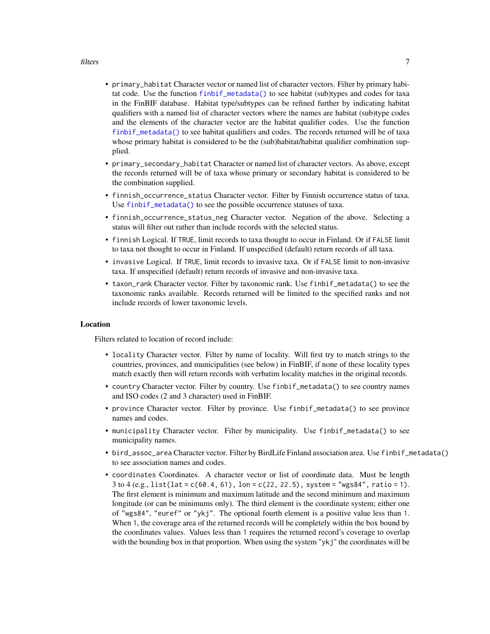#### <span id="page-6-0"></span>filters **7**

- primary\_habitat Character vector or named list of character vectors. Filter by primary habitat code. Use the function [finbif\\_metadata\(\)](#page-13-1) to see habitat (sub)types and codes for taxa in the FinBIF database. Habitat type/subtypes can be refined further by indicating habitat qualifiers with a named list of character vectors where the names are habitat (sub)type codes and the elements of the character vector are the habitat qualifier codes. Use the function [finbif\\_metadata\(\)](#page-13-1) to see habitat qualifiers and codes. The records returned will be of taxa whose primary habitat is considered to be the (sub)habitat/habitat qualifier combination supplied.
- primary\_secondary\_habitat Character or named list of character vectors. As above, except the records returned will be of taxa whose primary or secondary habitat is considered to be the combination supplied.
- finnish\_occurrence\_status Character vector. Filter by Finnish occurrence status of taxa. Use [finbif\\_metadata\(\)](#page-13-1) to see the possible occurrence statuses of taxa.
- finnish\_occurrence\_status\_neg Character vector. Negation of the above. Selecting a status will filter out rather than include records with the selected status.
- finnish Logical. If TRUE, limit records to taxa thought to occur in Finland. Or if FALSE limit to taxa not thought to occur in Finland. If unspecified (default) return records of all taxa.
- invasive Logical. If TRUE, limit records to invasive taxa. Or if FALSE limit to non-invasive taxa. If unspecified (default) return records of invasive and non-invasive taxa.
- taxon\_rank Character vector. Filter by taxonomic rank. Use finbif\_metadata() to see the taxonomic ranks available. Records returned will be limited to the specified ranks and not include records of lower taxonomic levels.

## Location

Filters related to location of record include:

- locality Character vector. Filter by name of locality. Will first try to match strings to the countries, provinces, and municipalities (see below) in FinBIF, if none of these locality types match exactly then will return records with verbatim locality matches in the original records.
- country Character vector. Filter by country. Use finbif\_metadata() to see country names and ISO codes (2 and 3 character) used in FinBIF.
- province Character vector. Filter by province. Use finbif\_metadata() to see province names and codes.
- municipality Character vector. Filter by municipality. Use finbif\_metadata() to see municipality names.
- bird\_assoc\_area Character vector. Filter by BirdLife Finland association area. Use finbif\_metadata() to see association names and codes.
- coordinates Coordinates. A character vector or list of coordinate data. Must be length  $3$  to  $4$  (e.g., list(lat = c(60.4, 61), lon = c(22, 22.5), system = "wgs84", ratio = 1). The first element is minimum and maximum latitude and the second minimum and maximum longitude (or can be minimums only). The third element is the coordinate system; either one of "wgs84", "euref" or "ykj". The optional fourth element is a positive value less than 1. When 1, the coverage area of the returned records will be completely within the box bound by the coordinates values. Values less than 1 requires the returned record's coverage to overlap with the bounding box in that proportion. When using the system "ykj" the coordinates will be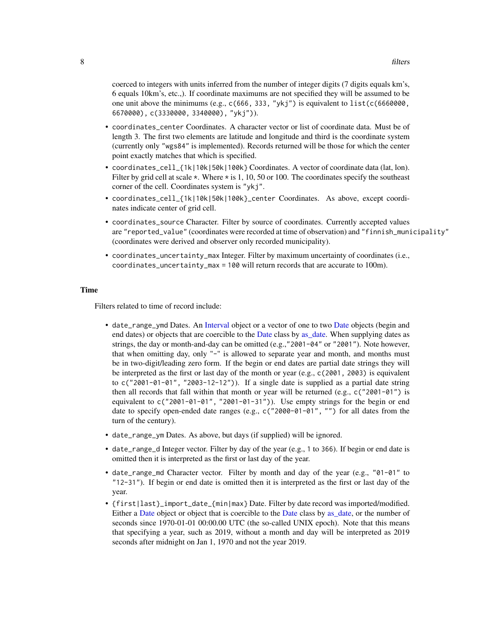<span id="page-7-0"></span>coerced to integers with units inferred from the number of integer digits (7 digits equals km's, 6 equals 10km's, etc.,). If coordinate maximums are not specified they will be assumed to be one unit above the minimums (e.g.,  $c(666, 333, "ykj")$  is equivalent to list( $c(6660000, ...)$ 6670000), c(3330000, 3340000), "ykj")).

- coordinates\_center Coordinates. A character vector or list of coordinate data. Must be of length 3. The first two elements are latitude and longitude and third is the coordinate system (currently only "wgs84" is implemented). Records returned will be those for which the center point exactly matches that which is specified.
- coordinates\_cell\_{1k|10k|50k|100k} Coordinates. A vector of coordinate data (lat, lon). Filter by grid cell at scale  $\star$ . Where  $\star$  is 1, 10, 50 or 100. The coordinates specify the southeast corner of the cell. Coordinates system is "ykj".
- coordinates\_cell\_{1k|10k|50k|100k}\_center Coordinates. As above, except coordinates indicate center of grid cell.
- coordinates\_source Character. Filter by source of coordinates. Currently accepted values are "reported\_value" (coordinates were recorded at time of observation) and "finnish\_municipality" (coordinates were derived and observer only recorded municipality).
- coordinates\_uncertainty\_max Integer. Filter by maximum uncertainty of coordinates (i.e., coordinates\_uncertainty\_max = 100 will return records that are accurate to 100m).

# Time

Filters related to time of record include:

- date\_range\_ymd Dates. An [Interval](#page-0-0) object or a vector of one to two [Date](#page-0-0) objects (begin and end dates) or objects that are coercible to the [Date](#page-0-0) class by [as\\_date.](#page-0-0) When supplying dates as strings, the day or month-and-day can be omitted (e.g.,"2001-04" or "2001"). Note however, that when omitting day, only "-" is allowed to separate year and month, and months must be in two-digit/leading zero form. If the begin or end dates are partial date strings they will be interpreted as the first or last day of the month or year (e.g., c(2001, 2003) is equivalent to  $c("2001-01-01", "2003-12-12")$ ). If a single date is supplied as a partial date string then all records that fall within that month or year will be returned (e.g.,  $c("2001-01")$  is equivalent to  $c("2001-01-01", "2001-01-31")$ ). Use empty strings for the begin or end date to specify open-ended date ranges (e.g., c("2000-01-01", "") for all dates from the turn of the century).
- date\_range\_ym Dates. As above, but days (if supplied) will be ignored.
- date\_range\_d Integer vector. Filter by day of the year (e.g., 1 to 366). If begin or end date is omitted then it is interpreted as the first or last day of the year.
- date\_range\_md Character vector. Filter by month and day of the year (e.g., "01-01" to "12-31"). If begin or end date is omitted then it is interpreted as the first or last day of the year.
- {first|last}\_import\_date\_{min|max} Date. Filter by date record was imported/modified. Either a [Date](#page-0-0) object or object that is coercible to the Date class by as date, or the number of seconds since 1970-01-01 00:00.00 UTC (the so-called UNIX epoch). Note that this means that specifying a year, such as 2019, without a month and day will be interpreted as 2019 seconds after midnight on Jan 1, 1970 and not the year 2019.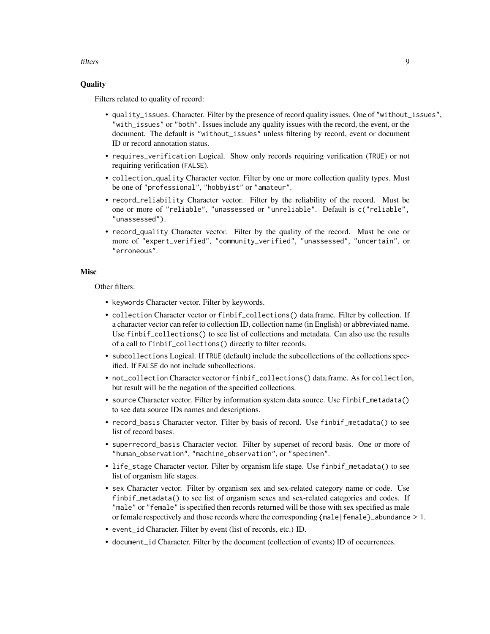## filters 9

# **Ouality**

Filters related to quality of record:

- quality\_issues. Character. Filter by the presence of record quality issues. One of "without\_issues", "with\_issues" or "both". Issues include any quality issues with the record, the event, or the document. The default is "without\_issues" unless filtering by record, event or document ID or record annotation status.
- requires\_verification Logical. Show only records requiring verification (TRUE) or not requiring verification (FALSE).
- collection\_quality Character vector. Filter by one or more collection quality types. Must be one of "professional", "hobbyist" or "amateur".
- record\_reliability Character vector. Filter by the reliability of the record. Must be one or more of "reliable", "unassessed or "unreliable". Default is c("reliable", "unassessed").
- record\_quality Character vector. Filter by the quality of the record. Must be one or more of "expert\_verified", "community\_verified", "unassessed", "uncertain", or "erroneous".

### Misc

Other filters:

- keywords Character vector. Filter by keywords.
- collection Character vector or finbif\_collections() data.frame. Filter by collection. If a character vector can refer to collection ID, collection name (in English) or abbreviated name. Use finbif\_collections() to see list of collections and metadata. Can also use the results of a call to finbif\_collections() directly to filter records.
- subcollections Logical. If TRUE (default) include the subcollections of the collections specified. If FALSE do not include subcollections.
- not\_collection Character vector or finbif\_collections() data.frame. As for collection, but result will be the negation of the specified collections.
- source Character vector. Filter by information system data source. Use finbif\_metadata() to see data source IDs names and descriptions.
- record\_basis Character vector. Filter by basis of record. Use finbif\_metadata() to see list of record bases.
- superrecord\_basis Character vector. Filter by superset of record basis. One or more of "human\_observation", "machine\_observation", or "specimen".
- life\_stage Character vector. Filter by organism life stage. Use finbif\_metadata() to see list of organism life stages.
- sex Character vector. Filter by organism sex and sex-related category name or code. Use finbif\_metadata() to see list of organism sexes and sex-related categories and codes. If "male" or "female" is specified then records returned will be those with sex specified as male or female respectively and those records where the corresponding {male|female}\_abundance > 1.
- event\_id Character. Filter by event (list of records, etc.) ID.
- document\_id Character. Filter by the document (collection of events) ID of occurrences.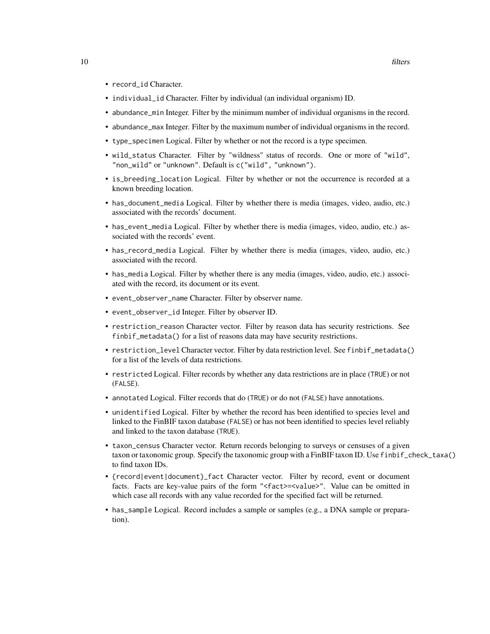- record\_id Character.
- individual\_id Character. Filter by individual (an individual organism) ID.
- abundance\_min Integer. Filter by the minimum number of individual organisms in the record.
- abundance\_max Integer. Filter by the maximum number of individual organisms in the record.
- type\_specimen Logical. Filter by whether or not the record is a type specimen.
- wild\_status Character. Filter by "wildness" status of records. One or more of "wild", "non\_wild" or "unknown". Default is c("wild", "unknown").
- is\_breeding\_location Logical. Filter by whether or not the occurrence is recorded at a known breeding location.
- has\_document\_media Logical. Filter by whether there is media (images, video, audio, etc.) associated with the records' document.
- has\_event\_media Logical. Filter by whether there is media (images, video, audio, etc.) associated with the records' event.
- has\_record\_media Logical. Filter by whether there is media (images, video, audio, etc.) associated with the record.
- has\_media Logical. Filter by whether there is any media (images, video, audio, etc.) associated with the record, its document or its event.
- event\_observer\_name Character. Filter by observer name.
- event\_observer\_id Integer. Filter by observer ID.
- restriction\_reason Character vector. Filter by reason data has security restrictions. See finbif\_metadata() for a list of reasons data may have security restrictions.
- restriction\_level Character vector. Filter by data restriction level. See finbif\_metadata() for a list of the levels of data restrictions.
- restricted Logical. Filter records by whether any data restrictions are in place (TRUE) or not (FALSE).
- annotated Logical. Filter records that do (TRUE) or do not (FALSE) have annotations.
- unidentified Logical. Filter by whether the record has been identified to species level and linked to the FinBIF taxon database (FALSE) or has not been identified to species level reliably and linked to the taxon database (TRUE).
- taxon\_census Character vector. Return records belonging to surveys or censuses of a given taxon or taxonomic group. Specify the taxonomic group with a FinBIF taxon ID. Use finbif\_check\_taxa() to find taxon IDs.
- {record|event|document}\_fact Character vector. Filter by record, event or document facts. Facts are key-value pairs of the form "<fact>=<value>". Value can be omitted in which case all records with any value recorded for the specified fact will be returned.
- has\_sample Logical. Record includes a sample or samples (e.g., a DNA sample or preparation).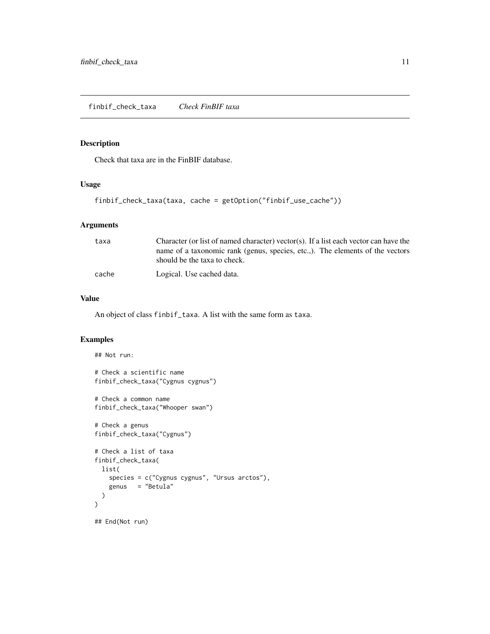# <span id="page-10-1"></span><span id="page-10-0"></span>Description

Check that taxa are in the FinBIF database.

# Usage

```
finbif_check_taxa(taxa, cache = getOption("finbif_use_cache"))
```
# Arguments

| taxa  | Character (or list of named character) vector(s). If a list each vector can have the                          |
|-------|---------------------------------------------------------------------------------------------------------------|
|       | name of a taxonomic rank (genus, species, etc.,). The elements of the vectors<br>should be the taxa to check. |
| cache | Logical. Use cached data.                                                                                     |

## Value

An object of class finbif\_taxa. A list with the same form as taxa.

## Examples

```
## Not run:
# Check a scientific name
finbif_check_taxa("Cygnus cygnus")
# Check a common name
finbif_check_taxa("Whooper swan")
# Check a genus
finbif_check_taxa("Cygnus")
# Check a list of taxa
finbif_check_taxa(
  list(
    species = c("Cygnus cygnus", "Ursus arctos"),
    genus = "Betula"
  )
)
## End(Not run)
```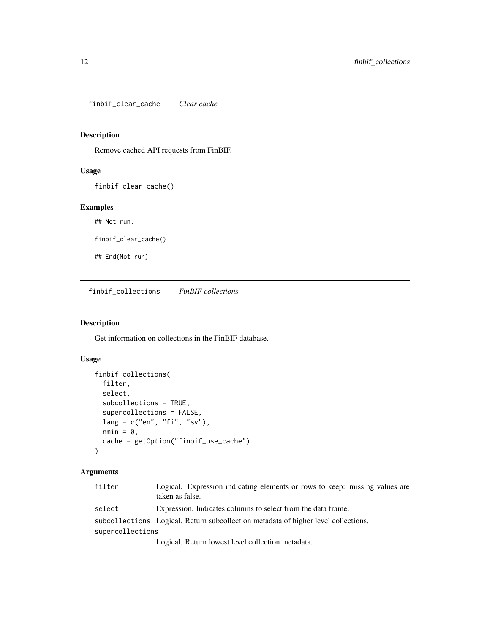<span id="page-11-0"></span>finbif\_clear\_cache *Clear cache*

## Description

Remove cached API requests from FinBIF.

# Usage

finbif\_clear\_cache()

# Examples

## Not run:

finbif\_clear\_cache()

## End(Not run)

finbif\_collections *FinBIF collections*

# Description

Get information on collections in the FinBIF database.

## Usage

```
finbif_collections(
  filter,
  select,
  subcollections = TRUE,
  supercollections = FALSE,
  lang = c("en", "fi", "sv"),
 nmin = 0,
  cache = getOption("finbif_use_cache")
\mathcal{E}
```
# Arguments

| filter           | Logical. Expression indicating elements or rows to keep: missing values are<br>taken as false. |
|------------------|------------------------------------------------------------------------------------------------|
| select           | Expression. Indicates columns to select from the data frame.                                   |
|                  | subcollections Logical. Return subcollection metadata of higher level collections.             |
| supercollections |                                                                                                |
|                  | Logical. Return lowest level collection metadata.                                              |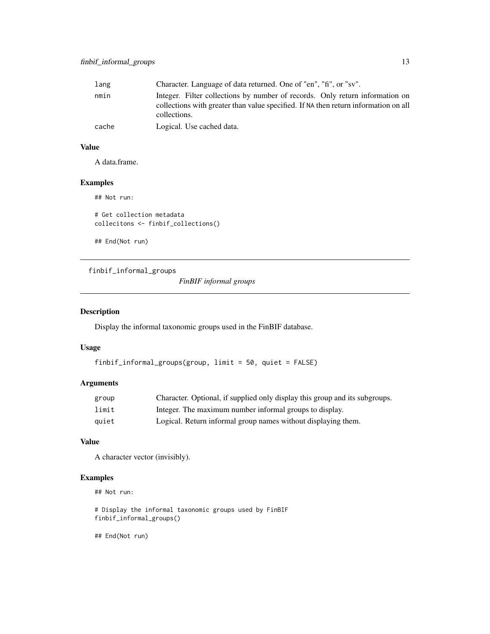# <span id="page-12-0"></span>finbif\_informal\_groups 13

| lang  | Character. Language of data returned. One of "en", "fi", or "sv".                                                                                                                   |
|-------|-------------------------------------------------------------------------------------------------------------------------------------------------------------------------------------|
| nmin  | Integer. Filter collections by number of records. Only return information on<br>collections with greater than value specified. If NA then return information on all<br>collections. |
| cache | Logical. Use cached data.                                                                                                                                                           |

# Value

A data.frame.

# Examples

## Not run:

# Get collection metadata collecitons <- finbif\_collections()

## End(Not run)

<span id="page-12-1"></span>finbif\_informal\_groups

*FinBIF informal groups*

# Description

Display the informal taxonomic groups used in the FinBIF database.

# Usage

```
finbif_informal_groups(group, limit = 50, quiet = FALSE)
```
# Arguments

| group | Character. Optional, if supplied only display this group and its subgroups. |
|-------|-----------------------------------------------------------------------------|
| limit | Integer. The maximum number informal groups to display.                     |
| auiet | Logical. Return informal group names without displaying them.               |

# Value

A character vector (invisibly).

# Examples

## Not run:

# Display the informal taxonomic groups used by FinBIF finbif\_informal\_groups()

## End(Not run)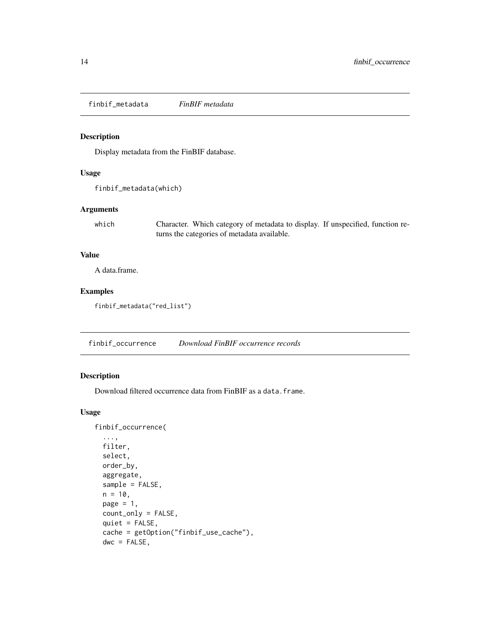<span id="page-13-1"></span><span id="page-13-0"></span>finbif\_metadata *FinBIF metadata*

## Description

Display metadata from the FinBIF database.

## Usage

```
finbif_metadata(which)
```
# Arguments

which Character. Which category of metadata to display. If unspecified, function returns the categories of metadata available.

# Value

A data.frame.

# Examples

finbif\_metadata("red\_list")

finbif\_occurrence *Download FinBIF occurrence records*

# Description

Download filtered occurrence data from FinBIF as a data.frame.

## Usage

```
finbif_occurrence(
  ...,
  filter,
  select,
  order_by,
  aggregate,
  sample = FALSE,
  n = 10,
 page = 1,
  count_only = FALSE,
  quiet = FALSE,
  cache = getOption("finbif_use_cache"),
  dwc = FALSE,
```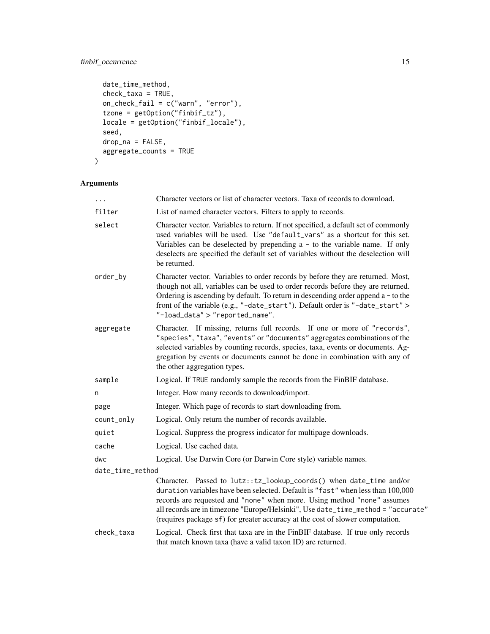# finbif\_occurrence 15

```
date_time_method,
 check_taxa = TRUE,
 on_check_fail = c("warn", "error"),tzone = getOption("finbif_tz"),
 locale = getOption("finbif_locale"),
 seed,
 drop_na = FALSE,
 aggregate_counts = TRUE
)
```
# Arguments

| $\ddots$         | Character vectors or list of character vectors. Taxa of records to download.                                                                                                                                                                                                                                                                                                                           |
|------------------|--------------------------------------------------------------------------------------------------------------------------------------------------------------------------------------------------------------------------------------------------------------------------------------------------------------------------------------------------------------------------------------------------------|
| filter           | List of named character vectors. Filters to apply to records.                                                                                                                                                                                                                                                                                                                                          |
| select           | Character vector. Variables to return. If not specified, a default set of commonly<br>used variables will be used. Use "default_vars" as a shortcut for this set.<br>Variables can be deselected by prepending $a - to$ to the variable name. If only<br>deselects are specified the default set of variables without the deselection will<br>be returned.                                             |
| order_by         | Character vector. Variables to order records by before they are returned. Most,<br>though not all, variables can be used to order records before they are returned.<br>Ordering is ascending by default. To return in descending order append $a - to the$<br>front of the variable (e.g., "-date_start"). Default order is "-date_start" ><br>$"$ -load_data" > "reported_name".                      |
| aggregate        | Character. If missing, returns full records. If one or more of "records",<br>"species", "taxa", "events" or "documents" aggregates combinations of the<br>selected variables by counting records, species, taxa, events or documents. Ag-<br>gregation by events or documents cannot be done in combination with any of<br>the other aggregation types.                                                |
| sample           | Logical. If TRUE randomly sample the records from the FinBIF database.                                                                                                                                                                                                                                                                                                                                 |
| n                | Integer. How many records to download/import.                                                                                                                                                                                                                                                                                                                                                          |
| page             | Integer. Which page of records to start downloading from.                                                                                                                                                                                                                                                                                                                                              |
| count_only       | Logical. Only return the number of records available.                                                                                                                                                                                                                                                                                                                                                  |
| quiet            | Logical. Suppress the progress indicator for multipage downloads.                                                                                                                                                                                                                                                                                                                                      |
| cache            | Logical. Use cached data.                                                                                                                                                                                                                                                                                                                                                                              |
| dwc              | Logical. Use Darwin Core (or Darwin Core style) variable names.                                                                                                                                                                                                                                                                                                                                        |
| date_time_method |                                                                                                                                                                                                                                                                                                                                                                                                        |
|                  | Character. Passed to lutz::tz_lookup_coords() when date_time and/or<br>duration variables have been selected. Default is "fast" when less than 100,000<br>records are requested and "none" when more. Using method "none" assumes<br>all records are in timezone "Europe/Helsinki", Use date_time_method = "accurate"<br>(requires package sf) for greater accuracy at the cost of slower computation. |
| check_taxa       | Logical. Check first that taxa are in the FinBIF database. If true only records<br>that match known taxa (have a valid taxon ID) are returned.                                                                                                                                                                                                                                                         |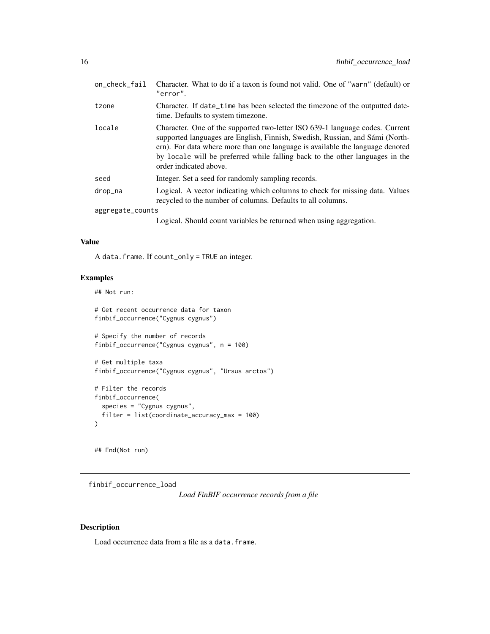<span id="page-15-0"></span>

| on_check_fail    | Character. What to do if a taxon is found not valid. One of "warn" (default) or<br>"error".                                                                                                                                                                                                                                                             |
|------------------|---------------------------------------------------------------------------------------------------------------------------------------------------------------------------------------------------------------------------------------------------------------------------------------------------------------------------------------------------------|
| tzone            | Character. If date_time has been selected the timezone of the outputted date-<br>time. Defaults to system timezone.                                                                                                                                                                                                                                     |
| locale           | Character. One of the supported two-letter ISO 639-1 language codes. Current<br>supported languages are English, Finnish, Swedish, Russian, and Sámi (North-<br>ern). For data where more than one language is available the language denoted<br>by locale will be preferred while falling back to the other languages in the<br>order indicated above. |
| seed             | Integer. Set a seed for randomly sampling records.                                                                                                                                                                                                                                                                                                      |
| drop_na          | Logical. A vector indicating which columns to check for missing data. Values<br>recycled to the number of columns. Defaults to all columns.                                                                                                                                                                                                             |
| aggregate_counts |                                                                                                                                                                                                                                                                                                                                                         |
|                  | Logical. Should count variables be returned when using aggregation.                                                                                                                                                                                                                                                                                     |

# Value

A data.frame. If count\_only = TRUE an integer.

# Examples

## Not run:

```
# Get recent occurrence data for taxon
finbif_occurrence("Cygnus cygnus")
# Specify the number of records
finbif_occurrence("Cygnus cygnus", n = 100)
# Get multiple taxa
finbif_occurrence("Cygnus cygnus", "Ursus arctos")
# Filter the records
finbif_occurrence(
  species = "Cygnus cygnus",
  filter = list(coordinate_accuracy_max = 100)
)
```
## End(Not run)

finbif\_occurrence\_load

*Load FinBIF occurrence records from a file*

# Description

Load occurrence data from a file as a data.frame.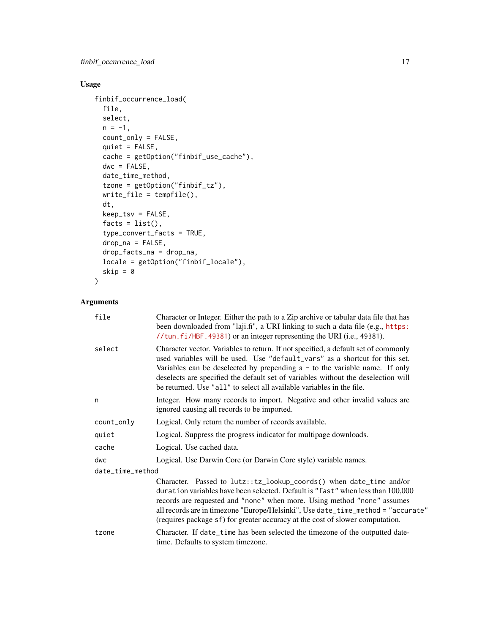# Usage

```
finbif_occurrence_load(
 file,
  select,
 n = -1,
 count_only = FALSE,
 quiet = FALSE,
  cache = getOption("finbif_use_cache"),
 dwc = FALSE,date_time_method,
  tzone = getOption("finbif_tz"),
 write_file = tempfile(),
  dt,
 keep_tsv = FALSE,
  facts = list(),
  type_convert_facts = TRUE,
  drop_na = FALSE,
  drop_facts_na = drop_na,
 locale = getOption("finbif_locale"),
  skip = \theta\mathcal{L}
```
# Arguments

| file             | Character or Integer. Either the path to a Zip archive or tabular data file that has<br>been downloaded from "laji.fi", a URI linking to such a data file (e.g., https:<br>//tun.fi/HBF.49381) or an integer representing the URI (i.e., 49381).                                                                                                                                                                    |
|------------------|---------------------------------------------------------------------------------------------------------------------------------------------------------------------------------------------------------------------------------------------------------------------------------------------------------------------------------------------------------------------------------------------------------------------|
| select           | Character vector. Variables to return. If not specified, a default set of commonly<br>used variables will be used. Use "default_vars" as a shortcut for this set.<br>Variables can be deselected by prepending $a - to$ to the variable name. If only<br>deselects are specified the default set of variables without the deselection will<br>be returned. Use "all" to select all available variables in the file. |
| n                | Integer. How many records to import. Negative and other invalid values are<br>ignored causing all records to be imported.                                                                                                                                                                                                                                                                                           |
| count_only       | Logical. Only return the number of records available.                                                                                                                                                                                                                                                                                                                                                               |
| quiet            | Logical. Suppress the progress indicator for multipage downloads.                                                                                                                                                                                                                                                                                                                                                   |
| cache            | Logical. Use cached data.                                                                                                                                                                                                                                                                                                                                                                                           |
| dwc              | Logical. Use Darwin Core (or Darwin Core style) variable names.                                                                                                                                                                                                                                                                                                                                                     |
| date_time_method |                                                                                                                                                                                                                                                                                                                                                                                                                     |
|                  | Character. Passed to lutz::tz_lookup_coords() when date_time and/or<br>duration variables have been selected. Default is "fast" when less than 100,000<br>records are requested and "none" when more. Using method "none" assumes<br>all records are in timezone "Europe/Helsinki", Use date_time_method = "accurate"<br>(requires package sf) for greater accuracy at the cost of slower computation.              |
| tzone            | Character. If date_time has been selected the timezone of the outputted date-<br>time. Defaults to system timezone.                                                                                                                                                                                                                                                                                                 |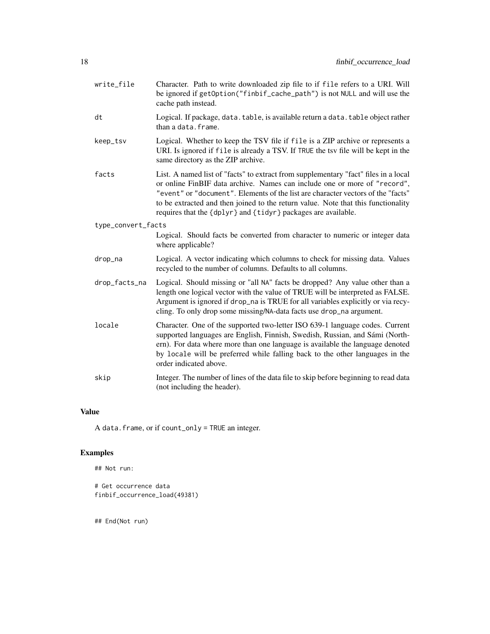| write_file         | Character. Path to write downloaded zip file to if file refers to a URI. Will<br>be ignored if getOption("finbif_cache_path") is not NULL and will use the<br>cache path instead.                                                                                                                                                                                                                          |
|--------------------|------------------------------------------------------------------------------------------------------------------------------------------------------------------------------------------------------------------------------------------------------------------------------------------------------------------------------------------------------------------------------------------------------------|
| dt                 | Logical. If package, data. table, is available return a data. table object rather<br>than a data.frame.                                                                                                                                                                                                                                                                                                    |
| keep_tsv           | Logical. Whether to keep the TSV file if file is a ZIP archive or represents a<br>URI. Is ignored if file is already a TSV. If TRUE the tsv file will be kept in the<br>same directory as the ZIP archive.                                                                                                                                                                                                 |
| facts              | List. A named list of "facts" to extract from supplementary "fact" files in a local<br>or online FinBIF data archive. Names can include one or more of "record",<br>"event" or "document". Elements of the list are character vectors of the "facts"<br>to be extracted and then joined to the return value. Note that this functionality<br>requires that the {dplyr} and {tidyr} packages are available. |
| type_convert_facts | Logical. Should facts be converted from character to numeric or integer data<br>where applicable?                                                                                                                                                                                                                                                                                                          |
| drop_na            | Logical. A vector indicating which columns to check for missing data. Values<br>recycled to the number of columns. Defaults to all columns.                                                                                                                                                                                                                                                                |
| drop_facts_na      | Logical. Should missing or "all NA" facts be dropped? Any value other than a<br>length one logical vector with the value of TRUE will be interpreted as FALSE.<br>Argument is ignored if drop_na is TRUE for all variables explicitly or via recy-<br>cling. To only drop some missing/NA-data facts use drop_na argument.                                                                                 |
| locale             | Character. One of the supported two-letter ISO 639-1 language codes. Current<br>supported languages are English, Finnish, Swedish, Russian, and Sámi (North-<br>ern). For data where more than one language is available the language denoted<br>by locale will be preferred while falling back to the other languages in the<br>order indicated above.                                                    |
| skip               | Integer. The number of lines of the data file to skip before beginning to read data<br>(not including the header).                                                                                                                                                                                                                                                                                         |

# Value

A data.frame, or if count\_only = TRUE an integer.

# Examples

```
# Get occurrence data
finbif_occurrence_load(49381)
```
## End(Not run)

## Not run: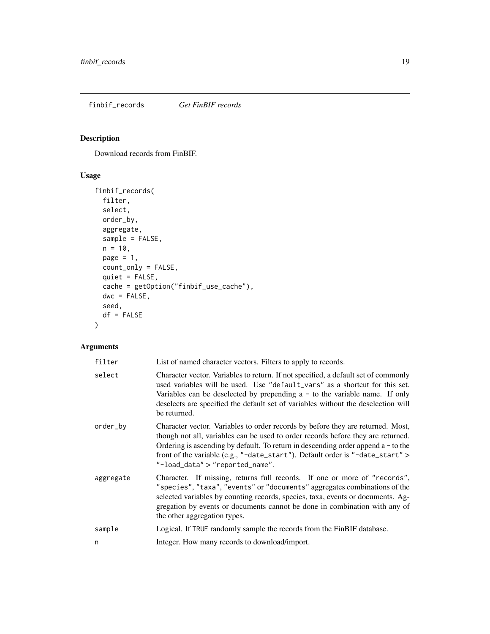<span id="page-18-0"></span>finbif\_records *Get FinBIF records*

# Description

Download records from FinBIF.

# Usage

```
finbif_records(
 filter,
  select,
 order_by,
 aggregate,
 sample = FALSE,
 n = 10,
 page = 1,count_only = FALSE,
 quiet = FALSE,
 cache = getOption("finbif_use_cache"),
 dwc = FALSE,seed,
 df = FALSE)
```
# Arguments

| filter    | List of named character vectors. Filters to apply to records.                                                                                                                                                                                                                                                                                                                     |
|-----------|-----------------------------------------------------------------------------------------------------------------------------------------------------------------------------------------------------------------------------------------------------------------------------------------------------------------------------------------------------------------------------------|
| select    | Character vector. Variables to return. If not specified, a default set of commonly<br>used variables will be used. Use "default_vars" as a shortcut for this set.<br>Variables can be deselected by prepending $a - to$ to the variable name. If only<br>deselects are specified the default set of variables without the deselection will<br>be returned.                        |
| order_by  | Character vector. Variables to order records by before they are returned. Most,<br>though not all, variables can be used to order records before they are returned.<br>Ordering is ascending by default. To return in descending order append $a - to$ to the<br>front of the variable (e.g., "-date_start"). Default order is "-date_start" ><br>"-load_data" > "reported_name". |
| aggregate | Character. If missing, returns full records. If one or more of "records",<br>"species", "taxa", "events" or "documents" aggregates combinations of the<br>selected variables by counting records, species, taxa, events or documents. Ag-<br>gregation by events or documents cannot be done in combination with any of<br>the other aggregation types.                           |
| sample    | Logical. If TRUE randomly sample the records from the FinBIF database.                                                                                                                                                                                                                                                                                                            |
| n         | Integer. How many records to download/import.                                                                                                                                                                                                                                                                                                                                     |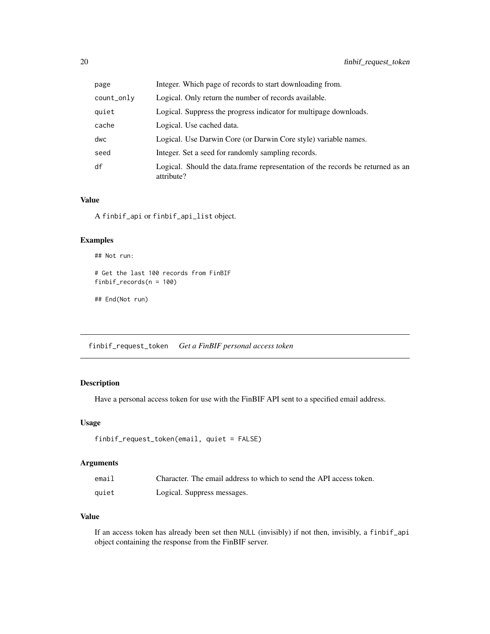<span id="page-19-0"></span>

| page       | Integer. Which page of records to start downloading from.                                    |
|------------|----------------------------------------------------------------------------------------------|
| count_only | Logical. Only return the number of records available.                                        |
| quiet      | Logical. Suppress the progress indicator for multipage downloads.                            |
| cache      | Logical. Use cached data.                                                                    |
| dwc        | Logical. Use Darwin Core (or Darwin Core style) variable names.                              |
| seed       | Integer. Set a seed for randomly sampling records.                                           |
| df         | Logical. Should the data.frame representation of the records be returned as an<br>attribute? |

## Value

A finbif\_api or finbif\_api\_list object.

## Examples

```
## Not run:
```

```
# Get the last 100 records from FinBIF
finbif_records(n = 100)
```

```
## End(Not run)
```
finbif\_request\_token *Get a FinBIF personal access token*

# Description

Have a personal access token for use with the FinBIF API sent to a specified email address.

# Usage

```
finbif_request_token(email, quiet = FALSE)
```
# Arguments

| email | Character. The email address to which to send the API access token. |
|-------|---------------------------------------------------------------------|
| quiet | Logical. Suppress messages.                                         |

# Value

If an access token has already been set then NULL (invisibly) if not then, invisibly, a finbif\_api object containing the response from the FinBIF server.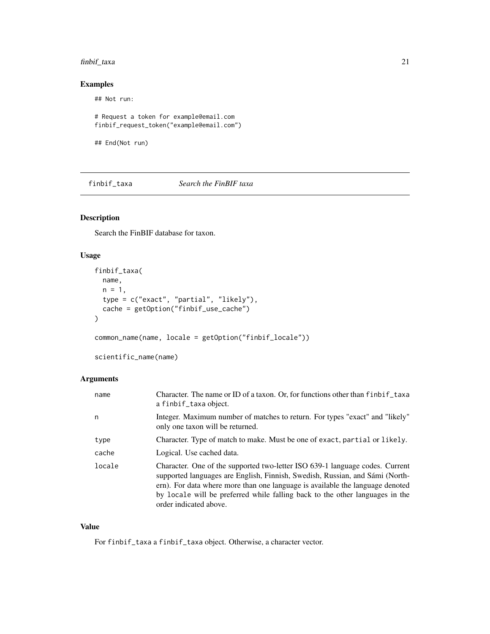# <span id="page-20-0"></span>finbif\_taxa 21

# Examples

## Not run:

```
# Request a token for example@email.com
finbif_request_token("example@email.com")
```
## End(Not run)

<span id="page-20-1"></span>finbif\_taxa *Search the FinBIF taxa*

# Description

Search the FinBIF database for taxon.

# Usage

```
finbif_taxa(
 name,
 n = 1,
  type = c("exact", "partial", "likely"),
 cache = getOption("finbif_use_cache")
)
```
common\_name(name, locale = getOption("finbif\_locale"))

scientific\_name(name)

## Arguments

| name   | Character. The name or ID of a taxon. Or, for functions other than finbif taxa<br>a finbif_taxa object.                                                                                                                                                                                                                                                 |
|--------|---------------------------------------------------------------------------------------------------------------------------------------------------------------------------------------------------------------------------------------------------------------------------------------------------------------------------------------------------------|
| n      | Integer. Maximum number of matches to return. For types "exact" and "likely"<br>only one taxon will be returned.                                                                                                                                                                                                                                        |
| type   | Character. Type of match to make. Must be one of exact, partial or likely.                                                                                                                                                                                                                                                                              |
| cache  | Logical. Use cached data.                                                                                                                                                                                                                                                                                                                               |
| locale | Character. One of the supported two-letter ISO 639-1 language codes. Current<br>supported languages are English, Finnish, Swedish, Russian, and Sámi (North-<br>ern). For data where more than one language is available the language denoted<br>by locale will be preferred while falling back to the other languages in the<br>order indicated above. |

# Value

For finbif\_taxa a finbif\_taxa object. Otherwise, a character vector.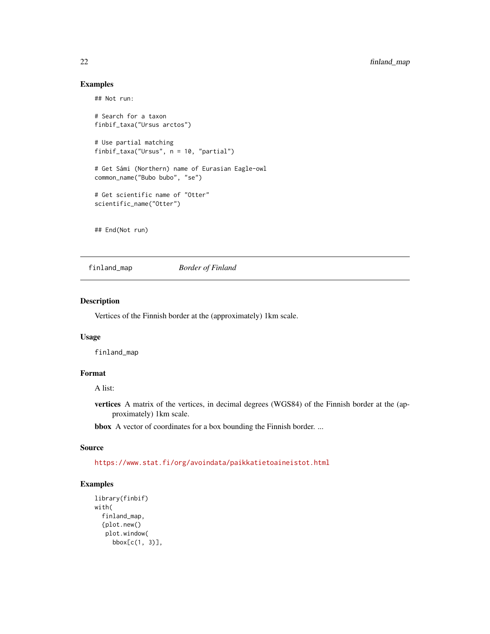# Examples

## Not run:

```
# Search for a taxon
finbif_taxa("Ursus arctos")
# Use partial matching
finbif_taxa("Ursus", n = 10, "partial")
# Get Sámi (Northern) name of Eurasian Eagle-owl
common_name("Bubo bubo", "se")
# Get scientific name of "Otter"
scientific_name("Otter")
```
## End(Not run)

finland\_map *Border of Finland*

## Description

Vertices of the Finnish border at the (approximately) 1km scale.

#### Usage

finland\_map

# Format

A list:

vertices A matrix of the vertices, in decimal degrees (WGS84) of the Finnish border at the (approximately) 1km scale.

bbox A vector of coordinates for a box bounding the Finnish border. ...

## Source

<https://www.stat.fi/org/avoindata/paikkatietoaineistot.html>

# Examples

```
library(finbif)
with(
  finland_map,
  {plot.new()
  plot.window(
    bbox[c(1, 3)],
```
<span id="page-21-0"></span>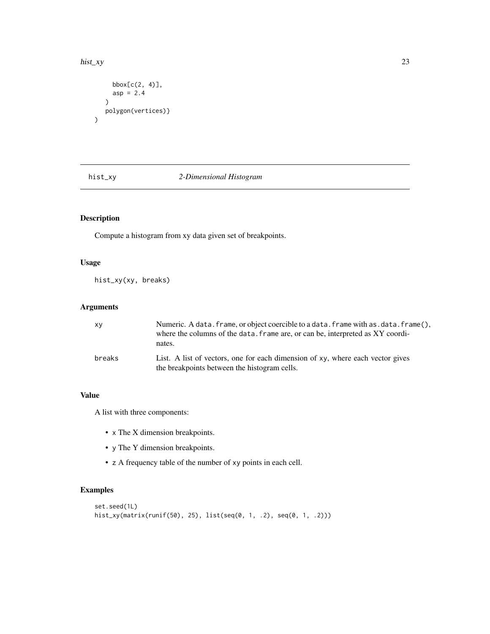#### <span id="page-22-0"></span>hist\_xy 23

 $\overline{\phantom{a}}$ 

```
bbox[c(2, 4)],
  asp = 2.4)
polygon(vertices)}
```
# hist\_xy *2-Dimensional Histogram*

# Description

Compute a histogram from xy data given set of breakpoints.

# Usage

hist\_xy(xy, breaks)

# Arguments

| xy     | Numeric. A data. frame, or object coercible to a data. frame with as. data. frame(),<br>where the columns of the data, frame are, or can be, interpreted as XY coordi-<br>nates. |
|--------|----------------------------------------------------------------------------------------------------------------------------------------------------------------------------------|
| breaks | List. A list of vectors, one for each dimension of xy, where each vector gives<br>the breakpoints between the histogram cells.                                                   |

# Value

A list with three components:

- x The X dimension breakpoints.
- y The Y dimension breakpoints.
- z A frequency table of the number of xy points in each cell.

# Examples

```
set.seed(1L)
hist_xy(matrix(runif(50), 25), list(seq(0, 1, .2), seq(0, 1, .2)))
```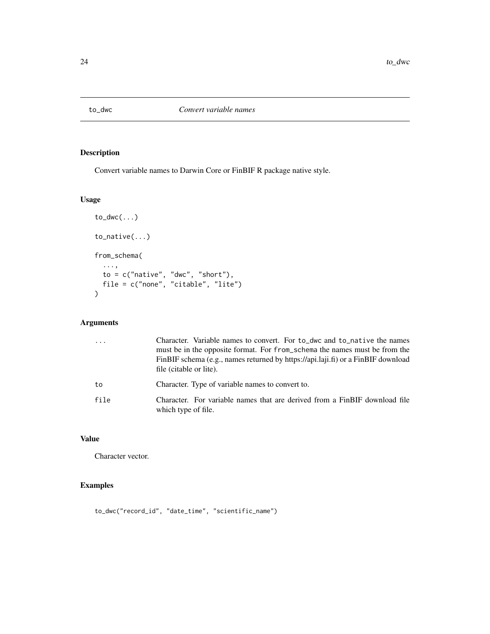<span id="page-23-0"></span>

# Description

Convert variable names to Darwin Core or FinBIF R package native style.

# Usage

```
to_dwc(...)
to_native(...)
from_schema(
  ...,
  to = c("native", "dwc", "short"),file = c("none", "citable", "lite")
)
```
# Arguments

| $\cdot \cdot \cdot$ | Character. Variable names to convert. For to_dwc and to_native the names<br>must be in the opposite format. For from_schema the names must be from the<br>FinBIF schema (e.g., names returned by https://api.laji.fi) or a FinBIF download<br>file (citable or lite). |
|---------------------|-----------------------------------------------------------------------------------------------------------------------------------------------------------------------------------------------------------------------------------------------------------------------|
| to                  | Character. Type of variable names to convert to.                                                                                                                                                                                                                      |
| file                | Character. For variable names that are derived from a FinBIF download file<br>which type of file.                                                                                                                                                                     |

# Value

Character vector.

# Examples

to\_dwc("record\_id", "date\_time", "scientific\_name")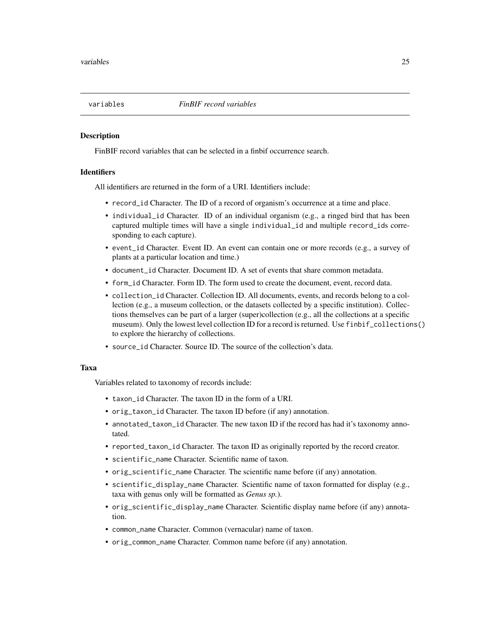<span id="page-24-0"></span>

## Description

FinBIF record variables that can be selected in a finbif occurrence search.

## **Identifiers**

All identifiers are returned in the form of a URI. Identifiers include:

- record\_id Character. The ID of a record of organism's occurrence at a time and place.
- individual\_id Character. ID of an individual organism (e.g., a ringed bird that has been captured multiple times will have a single individual\_id and multiple record\_ids corresponding to each capture).
- event\_id Character. Event ID. An event can contain one or more records (e.g., a survey of plants at a particular location and time.)
- document\_id Character. Document ID. A set of events that share common metadata.
- form\_id Character. Form ID. The form used to create the document, event, record data.
- collection\_id Character. Collection ID. All documents, events, and records belong to a collection (e.g., a museum collection, or the datasets collected by a specific institution). Collections themselves can be part of a larger (super)collection (e.g., all the collections at a specific museum). Only the lowest level collection ID for a record is returned. Use finbif\_collections() to explore the hierarchy of collections.
- source\_id Character. Source ID. The source of the collection's data.

#### Taxa

Variables related to taxonomy of records include:

- taxon\_id Character. The taxon ID in the form of a URI.
- orig\_taxon\_id Character. The taxon ID before (if any) annotation.
- annotated\_taxon\_id Character. The new taxon ID if the record has had it's taxonomy annotated.
- reported\_taxon\_id Character. The taxon ID as originally reported by the record creator.
- scientific\_name Character. Scientific name of taxon.
- orig\_scientific\_name Character. The scientific name before (if any) annotation.
- scientific\_display\_name Character. Scientific name of taxon formatted for display (e.g., taxa with genus only will be formatted as *Genus sp.*).
- orig\_scientific\_display\_name Character. Scientific display name before (if any) annotation.
- common\_name Character. Common (vernacular) name of taxon.
- orig\_common\_name Character. Common name before (if any) annotation.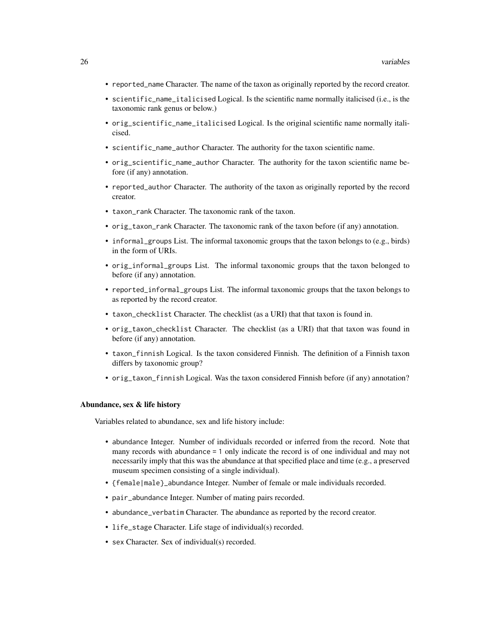- reported\_name Character. The name of the taxon as originally reported by the record creator.
- scientific\_name\_italicised Logical. Is the scientific name normally italicised (i.e., is the taxonomic rank genus or below.)
- orig\_scientific\_name\_italicised Logical. Is the original scientific name normally italicised.
- scientific\_name\_author Character. The authority for the taxon scientific name.
- orig\_scientific\_name\_author Character. The authority for the taxon scientific name before (if any) annotation.
- reported\_author Character. The authority of the taxon as originally reported by the record creator.
- taxon\_rank Character. The taxonomic rank of the taxon.
- orig\_taxon\_rank Character. The taxonomic rank of the taxon before (if any) annotation.
- informal\_groups List. The informal taxonomic groups that the taxon belongs to (e.g., birds) in the form of URIs.
- orig\_informal\_groups List. The informal taxonomic groups that the taxon belonged to before (if any) annotation.
- reported\_informal\_groups List. The informal taxonomic groups that the taxon belongs to as reported by the record creator.
- taxon\_checklist Character. The checklist (as a URI) that that taxon is found in.
- orig\_taxon\_checklist Character. The checklist (as a URI) that that taxon was found in before (if any) annotation.
- taxon\_finnish Logical. Is the taxon considered Finnish. The definition of a Finnish taxon differs by taxonomic group?
- orig\_taxon\_finnish Logical. Was the taxon considered Finnish before (if any) annotation?

## Abundance, sex & life history

Variables related to abundance, sex and life history include:

- abundance Integer. Number of individuals recorded or inferred from the record. Note that many records with abundance = 1 only indicate the record is of one individual and may not necessarily imply that this was the abundance at that specified place and time (e.g., a preserved museum specimen consisting of a single individual).
- {female|male}\_abundance Integer. Number of female or male individuals recorded.
- pair\_abundance Integer. Number of mating pairs recorded.
- abundance\_verbatim Character. The abundance as reported by the record creator.
- life\_stage Character. Life stage of individual(s) recorded.
- sex Character. Sex of individual(s) recorded.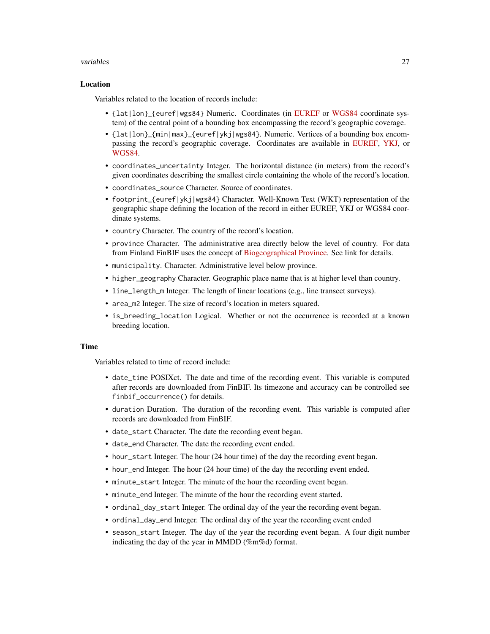## variables 27

## Location

Variables related to the location of records include:

- {lat|lon}\_{euref|wgs84} Numeric. Coordinates (in [EUREF](https://spatialreference.org/ref/epsg/etrs89-etrs-tm35fin/) or [WGS84](https://spatialreference.org/ref/epsg/wgs-84/) coordinate system) of the central point of a bounding box encompassing the record's geographic coverage.
- {lat|lon}\_{min|max}\_{euref|ykj|wgs84}. Numeric. Vertices of a bounding box encompassing the record's geographic coverage. Coordinates are available in [EUREF,](https://spatialreference.org/ref/epsg/etrs89-etrs-tm35fin/) [YKJ,](https://spatialreference.org/ref/epsg/2393/) or [WGS84.](https://spatialreference.org/ref/epsg/wgs-84/)
- coordinates\_uncertainty Integer. The horizontal distance (in meters) from the record's given coordinates describing the smallest circle containing the whole of the record's location.
- coordinates\_source Character. Source of coordinates.
- footprint\_{euref|ykj|wgs84} Character. Well-Known Text (WKT) representation of the geographic shape defining the location of the record in either EUREF, YKJ or WGS84 coordinate systems.
- country Character. The country of the record's location.
- province Character. The administrative area directly below the level of country. For data from Finland FinBIF uses the concept of [Biogeographical Province.](https://laji.fi/en/theme/emk) See link for details.
- municipality. Character. Administrative level below province.
- higher\_geography Character. Geographic place name that is at higher level than country.
- line\_length\_m Integer. The length of linear locations (e.g., line transect surveys).
- area\_m2 Integer. The size of record's location in meters squared.
- is\_breeding\_location Logical. Whether or not the occurrence is recorded at a known breeding location.

## Time

Variables related to time of record include:

- date\_time POSIXct. The date and time of the recording event. This variable is computed after records are downloaded from FinBIF. Its timezone and accuracy can be controlled see finbif\_occurrence() for details.
- duration Duration. The duration of the recording event. This variable is computed after records are downloaded from FinBIF.
- date\_start Character. The date the recording event began.
- date\_end Character. The date the recording event ended.
- hour\_start Integer. The hour (24 hour time) of the day the recording event began.
- hour\_end Integer. The hour (24 hour time) of the day the recording event ended.
- minute\_start Integer. The minute of the hour the recording event began.
- minute\_end Integer. The minute of the hour the recording event started.
- ordinal\_day\_start Integer. The ordinal day of the year the recording event began.
- ordinal\_day\_end Integer. The ordinal day of the year the recording event ended
- season\_start Integer. The day of the year the recording event began. A four digit number indicating the day of the year in MMDD (%m%d) format.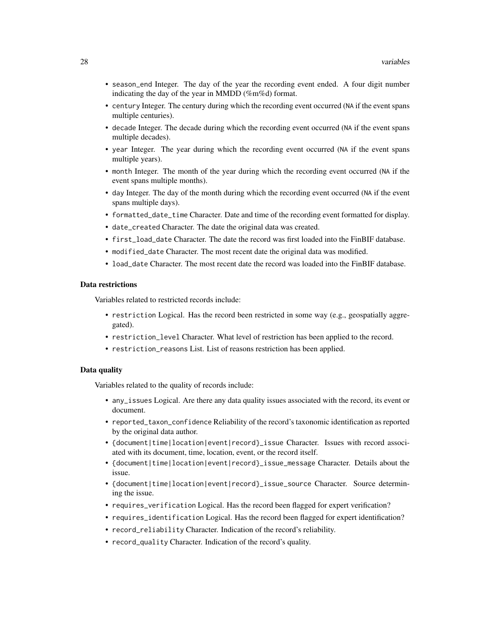- season\_end Integer. The day of the year the recording event ended. A four digit number indicating the day of the year in MMDD (%m%d) format.
- century Integer. The century during which the recording event occurred (NA if the event spans multiple centuries).
- decade Integer. The decade during which the recording event occurred (NA if the event spans multiple decades).
- year Integer. The year during which the recording event occurred (NA if the event spans multiple years).
- month Integer. The month of the year during which the recording event occurred (NA if the event spans multiple months).
- day Integer. The day of the month during which the recording event occurred (NA if the event spans multiple days).
- formatted\_date\_time Character. Date and time of the recording event formatted for display.
- date\_created Character. The date the original data was created.
- first load date Character. The date the record was first loaded into the FinBIF database.
- modified\_date Character. The most recent date the original data was modified.
- load\_date Character. The most recent date the record was loaded into the FinBIF database.

## Data restrictions

Variables related to restricted records include:

- restriction Logical. Has the record been restricted in some way (e.g., geospatially aggregated).
- restriction\_level Character. What level of restriction has been applied to the record.
- restriction\_reasons List. List of reasons restriction has been applied.

## Data quality

Variables related to the quality of records include:

- any\_issues Logical. Are there any data quality issues associated with the record, its event or document.
- reported\_taxon\_confidence Reliability of the record's taxonomic identification as reported by the original data author.
- {document|time|location|event|record}\_issue Character. Issues with record associated with its document, time, location, event, or the record itself.
- {document|time|location|event|record}\_issue\_message Character. Details about the issue.
- {document|time|location|event|record}\_issue\_source Character. Source determining the issue.
- requires\_verification Logical. Has the record been flagged for expert verification?
- requires\_identification Logical. Has the record been flagged for expert identification?
- record\_reliability Character. Indication of the record's reliability.
- record\_quality Character. Indication of the record's quality.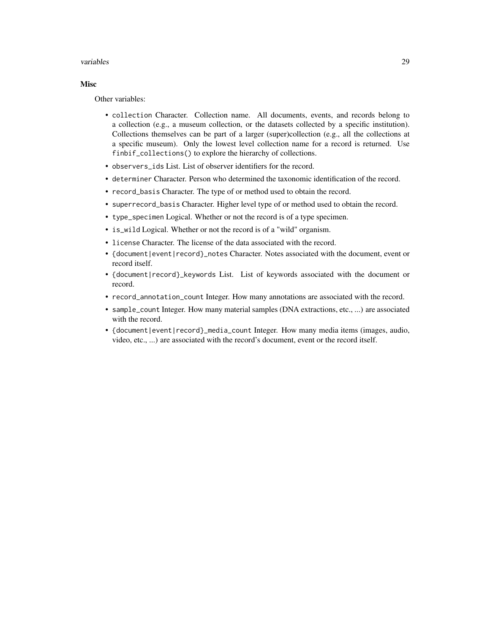## variables 29

# Misc

Other variables:

- collection Character. Collection name. All documents, events, and records belong to a collection (e.g., a museum collection, or the datasets collected by a specific institution). Collections themselves can be part of a larger (super)collection (e.g., all the collections at a specific museum). Only the lowest level collection name for a record is returned. Use finbif\_collections() to explore the hierarchy of collections.
- observers\_ids List. List of observer identifiers for the record.
- determiner Character. Person who determined the taxonomic identification of the record.
- record\_basis Character. The type of or method used to obtain the record.
- superrecord\_basis Character. Higher level type of or method used to obtain the record.
- type\_specimen Logical. Whether or not the record is of a type specimen.
- is\_wild Logical. Whether or not the record is of a "wild" organism.
- license Character. The license of the data associated with the record.
- {document|event|record}\_notes Character. Notes associated with the document, event or record itself.
- {document|record}\_keywords List. List of keywords associated with the document or record.
- record\_annotation\_count Integer. How many annotations are associated with the record.
- sample\_count Integer. How many material samples (DNA extractions, etc., ...) are associated with the record.
- {document|event|record}\_media\_count Integer. How many media items (images, audio, video, etc., ...) are associated with the record's document, event or the record itself.